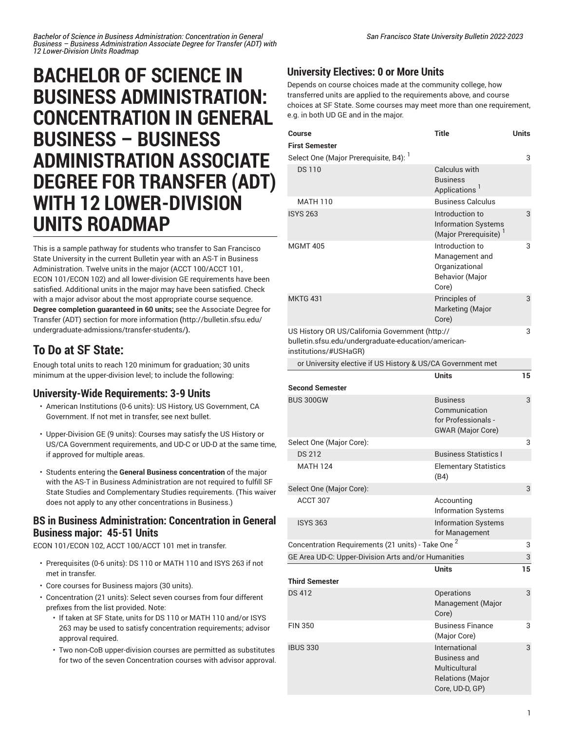# **BACHELOR OF SCIENCE IN BUSINESS ADMINISTRATION: CONCENTRATION IN GENERAL BUSINESS – BUSINESS ADMINISTRATION ASSOCIATE DEGREE FOR TRANSFER (ADT) WITH 12 LOWER-DIVISION UNITS ROADMAP**

This is a sample pathway for students who transfer to San Francisco State University in the current Bulletin year with an AS-T in Business Administration. Twelve units in the major (ACCT 100/ACCT 101, ECON 101/ECON 102) and all lower-division GE requirements have been satisfied. Additional units in the major may have been satisfied. Check with a major advisor about the most appropriate course sequence. **Degree completion guaranteed in 60 units;** see the [Associate](http://bulletin.sfsu.edu/undergraduate-admissions/transfer-students/) Degree for Transfer (ADT) section for more [information](http://bulletin.sfsu.edu/undergraduate-admissions/transfer-students/) **(**[http://bulletin.sfsu.edu/](http://bulletin.sfsu.edu/undergraduate-admissions/transfer-students/) [undergraduate-admissions/transfer-students/](http://bulletin.sfsu.edu/undergraduate-admissions/transfer-students/)**).**

## **To Do at SF State:**

Enough total units to reach 120 minimum for graduation; 30 units minimum at the upper-division level; to include the following:

#### **University-Wide Requirements: 3-9 Units**

- American Institutions (0-6 units): US History, US Government, CA Government. If not met in transfer, see next bullet.
- Upper-Division GE (9 units): Courses may satisfy the US History or US/CA Government requirements, and UD-C or UD-D at the same time, if approved for multiple areas.
- Students entering the **General Business concentration** of the major with the AS-T in Business Administration are not required to fulfill SF State Studies and Complementary Studies requirements. (This waiver does not apply to any other concentrations in Business.)

#### **BS in Business Administration: Concentration in General Business major: 45-51 Units**

ECON 101/ECON 102, ACCT 100/ACCT 101 met in transfer.

- Prerequisites (0-6 units): DS 110 or MATH 110 and ISYS 263 if not met in transfer.
- Core courses for Business majors (30 units).
- Concentration (21 units): Select seven courses from four different prefixes from the list provided. Note:
	- If taken at SF State, units for DS 110 or MATH 110 and/or ISYS 263 may be used to satisfy concentration requirements; advisor approval required.
	- Two non-CoB upper-division courses are permitted as substitutes for two of the seven Concentration courses with advisor approval.

### **University Electives: 0 or More Units**

Depends on course choices made at the community college, how transferred units are applied to the requirements above, and course choices at SF State. Some courses may meet more than one requirement, e.g. in both UD GE and in the major.

| Course                                                                                                                          | <b>Title</b>                                                                                        | <b>Units</b> |
|---------------------------------------------------------------------------------------------------------------------------------|-----------------------------------------------------------------------------------------------------|--------------|
| <b>First Semester</b>                                                                                                           |                                                                                                     |              |
| Select One (Major Prerequisite, B4): <sup>1</sup>                                                                               |                                                                                                     | 3            |
| <b>DS110</b>                                                                                                                    | Calculus with<br><b>Business</b><br>Applications <sup>1</sup>                                       |              |
| <b>MATH 110</b>                                                                                                                 | <b>Business Calculus</b>                                                                            |              |
| <b>ISYS 263</b>                                                                                                                 | Introduction to<br><b>Information Systems</b><br>(Major Prerequisite) <sup>1</sup>                  | 3            |
| <b>MGMT 405</b>                                                                                                                 | Introduction to<br>Management and<br>Organizational<br><b>Behavior (Major</b><br>Core)              | 3            |
| <b>MKTG 431</b>                                                                                                                 | Principles of<br>Marketing (Major<br>Core)                                                          | 3            |
| US History OR US/California Government (http://<br>bulletin.sfsu.edu/undergraduate-education/american-<br>institutions/#USHaGR) |                                                                                                     | 3            |
| or University elective if US History & US/CA Government met                                                                     |                                                                                                     |              |
| <b>Second Semester</b>                                                                                                          | <b>Units</b>                                                                                        | 15           |
| <b>BUS 300GW</b>                                                                                                                | <b>Business</b><br>Communication<br>for Professionals -<br><b>GWAR</b> (Major Core)                 | 3            |
| Select One (Major Core):                                                                                                        |                                                                                                     | 3            |
| <b>DS 212</b>                                                                                                                   | <b>Business Statistics I</b>                                                                        |              |
| <b>MATH 124</b>                                                                                                                 | <b>Elementary Statistics</b><br>(B4)                                                                |              |
| Select One (Major Core):                                                                                                        |                                                                                                     | 3            |
| ACCT 307                                                                                                                        | Accounting<br><b>Information Systems</b>                                                            |              |
| <b>ISYS 363</b>                                                                                                                 | <b>Information Systems</b><br>for Management                                                        |              |
| Concentration Requirements (21 units) - Take One <sup>2</sup>                                                                   |                                                                                                     | 3            |
| GE Area UD-C: Upper-Division Arts and/or Humanities                                                                             |                                                                                                     | 3            |
|                                                                                                                                 | <b>Units</b>                                                                                        | 15           |
| <b>Third Semester</b>                                                                                                           |                                                                                                     |              |
| <b>DS 412</b>                                                                                                                   | Operations<br>Management (Major<br>Core)                                                            | 3            |
| <b>FIN 350</b>                                                                                                                  | <b>Business Finance</b><br>(Major Core)                                                             | 3            |
| <b>IBUS 330</b>                                                                                                                 | International<br><b>Business and</b><br>Multicultural<br><b>Relations (Major</b><br>Core, UD-D, GP) | 3            |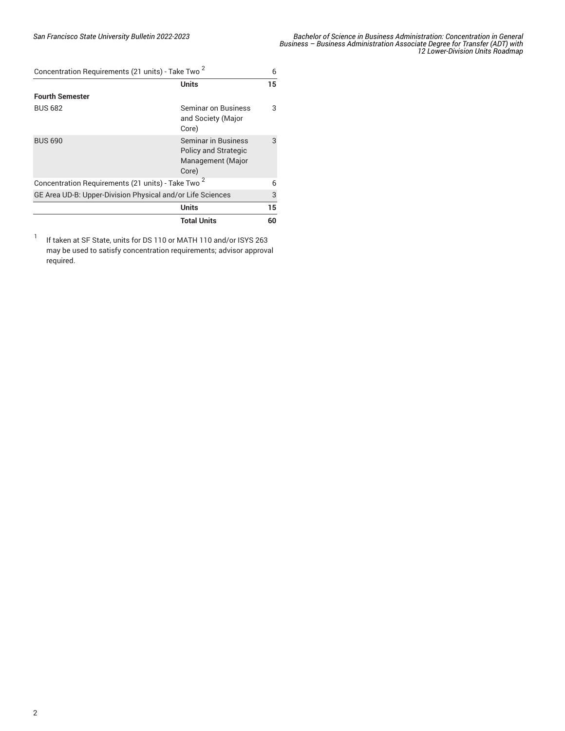| Concentration Requirements (21 units) - Take Two <sup>2</sup> |                                                                                  | 6  |
|---------------------------------------------------------------|----------------------------------------------------------------------------------|----|
|                                                               | <b>Units</b>                                                                     | 15 |
| <b>Fourth Semester</b>                                        |                                                                                  |    |
| <b>BUS 682</b>                                                | Seminar on Business<br>and Society (Major<br>Core)                               | 3  |
| <b>BUS 690</b>                                                | Seminar in Business<br><b>Policy and Strategic</b><br>Management (Major<br>Core) | 3  |
| Concentration Requirements (21 units) - Take Two <sup>2</sup> |                                                                                  | 6  |
| GE Area UD-B: Upper-Division Physical and/or Life Sciences    |                                                                                  | 3  |
|                                                               | <b>Units</b>                                                                     | 15 |
|                                                               | <b>Total Units</b>                                                               | 60 |

1 If taken at SF State, units for DS 110 or MATH 110 and/or ISYS 263 may be used to satisfy concentration requirements; advisor approval required.